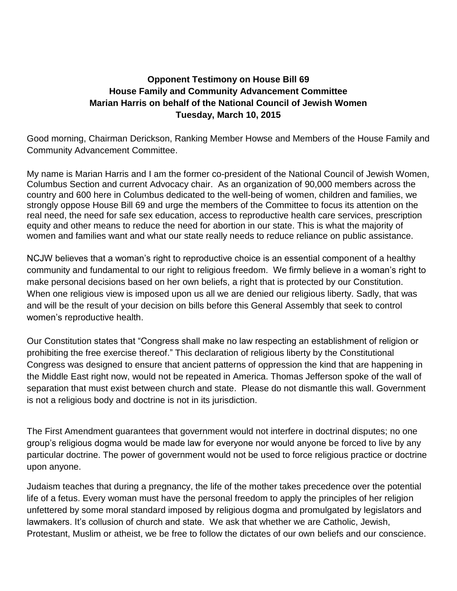## **Opponent Testimony on House Bill 69 House Family and Community Advancement Committee Marian Harris on behalf of the National Council of Jewish Women Tuesday, March 10, 2015**

Good morning, Chairman Derickson, Ranking Member Howse and Members of the House Family and Community Advancement Committee.

My name is Marian Harris and I am the former co-president of the National Council of Jewish Women, Columbus Section and current Advocacy chair. As an organization of 90,000 members across the country and 600 here in Columbus dedicated to the well-being of women, children and families, we strongly oppose House Bill 69 and urge the members of the Committee to focus its attention on the real need, the need for safe sex education, access to reproductive health care services, prescription equity and other means to reduce the need for abortion in our state. This is what the majority of women and families want and what our state really needs to reduce reliance on public assistance.

NCJW believes that a woman's right to reproductive choice is an essential component of a healthy community and fundamental to our right to religious freedom. We firmly believe in a woman's right to make personal decisions based on her own beliefs, a right that is protected by our Constitution. When one religious view is imposed upon us all we are denied our religious liberty. Sadly, that was and will be the result of your decision on bills before this General Assembly that seek to control women's reproductive health.

Our Constitution states that "Congress shall make no law respecting an establishment of religion or prohibiting the free exercise thereof." This declaration of religious liberty by the Constitutional Congress was designed to ensure that ancient patterns of oppression the kind that are happening in the Middle East right now, would not be repeated in America. Thomas Jefferson spoke of the wall of separation that must exist between church and state. Please do not dismantle this wall. Government is not a religious body and doctrine is not in its jurisdiction.

The First Amendment guarantees that government would not interfere in doctrinal disputes; no one group's religious dogma would be made law for everyone nor would anyone be forced to live by any particular doctrine. The power of government would not be used to force religious practice or doctrine upon anyone.

Judaism teaches that during a pregnancy, the life of the mother takes precedence over the potential life of a fetus. Every woman must have the personal freedom to apply the principles of her religion unfettered by some moral standard imposed by religious dogma and promulgated by legislators and lawmakers. It's collusion of church and state. We ask that whether we are Catholic, Jewish, Protestant, Muslim or atheist, we be free to follow the dictates of our own beliefs and our conscience.